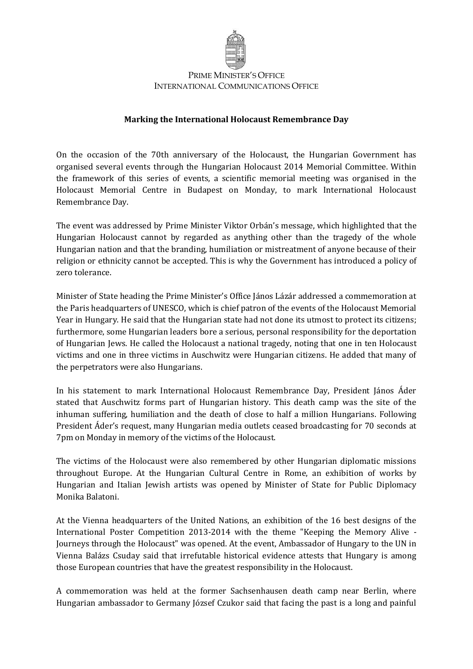

## PRIME MINISTER'S OFFICE INTERNATIONAL COMMUNICATIONS OFFICE

## **Marking the International Holocaust Remembrance Day**

On the occasion of the 70th anniversary of the Holocaust, the Hungarian Government has organised several events through the Hungarian Holocaust 2014 Memorial Committee. Within the framework of this series of events, a scientific memorial meeting was organised in the Holocaust Memorial Centre in Budapest on Monday, to mark International Holocaust Remembrance Day.

The event was addressed by Prime Minister Viktor Orbán's message, which highlighted that the Hungarian Holocaust cannot by regarded as anything other than the tragedy of the whole Hungarian nation and that the branding, humiliation or mistreatment of anyone because of their religion or ethnicity cannot be accepted. This is why the Government has introduced a policy of zero tolerance.

Minister of State heading the Prime Minister's Office János Lázár addressed a commemoration at the Paris headquarters of UNESCO, which is chief patron of the events of the Holocaust Memorial Year in Hungary. He said that the Hungarian state had not done its utmost to protect its citizens; furthermore, some Hungarian leaders bore a serious, personal responsibility for the deportation of Hungarian Jews. He called the Holocaust a national tragedy, noting that one in ten Holocaust victims and one in three victims in Auschwitz were Hungarian citizens. He added that many of the perpetrators were also Hungarians.

In his statement to mark International Holocaust Remembrance Day, President János Áder stated that Auschwitz forms part of Hungarian history. This death camp was the site of the inhuman suffering, humiliation and the death of close to half a million Hungarians. Following President Áder's request, many Hungarian media outlets ceased broadcasting for 70 seconds at 7pm on Monday in memory of the victims of the Holocaust.

The victims of the Holocaust were also remembered by other Hungarian diplomatic missions throughout Europe. At the Hungarian Cultural Centre in Rome, an exhibition of works by Hungarian and Italian Jewish artists was opened by Minister of State for Public Diplomacy Monika Balatoni.

At the Vienna headquarters of the United Nations, an exhibition of the 16 best designs of the International Poster Competition 2013-2014 with the theme "Keeping the Memory Alive - Journeys through the Holocaust" was opened. At the event, Ambassador of Hungary to the UN in Vienna Balázs Csuday said that irrefutable historical evidence attests that Hungary is among those European countries that have the greatest responsibility in the Holocaust.

A commemoration was held at the former Sachsenhausen death camp near Berlin, where Hungarian ambassador to Germany József Czukor said that facing the past is a long and painful